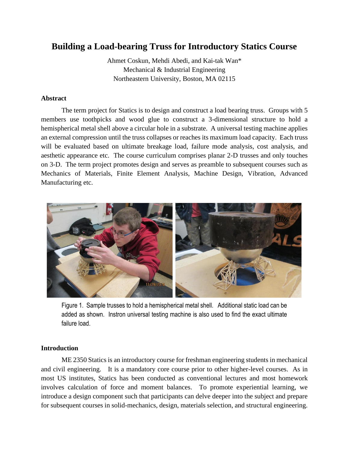# **Building a Load-bearing Truss for Introductory Statics Course**

Ahmet Coskun, Mehdi Abedi, and Kai-tak Wan\* Mechanical & Industrial Engineering Northeastern University, Boston, MA 02115

## **Abstract**

The term project for Statics is to design and construct a load bearing truss. Groups with 5 members use toothpicks and wood glue to construct a 3-dimensional structure to hold a hemispherical metal shell above a circular hole in a substrate. A universal testing machine applies an external compression until the truss collapses or reaches its maximum load capacity. Each truss will be evaluated based on ultimate breakage load, failure mode analysis, cost analysis, and aesthetic appearance etc. The course curriculum comprises planar 2-D trusses and only touches on 3-D. The term project promotes design and serves as preamble to subsequent courses such as Mechanics of Materials, Finite Element Analysis, Machine Design, Vibration, Advanced Manufacturing etc.



Figure 1. Sample trusses to hold a hemispherical metal shell. Additional static load can be added as shown. Instron universal testing machine is also used to find the exact ultimate failure load.

#### **Introduction**

ME 2350 Statics is an introductory course for freshman engineering students in mechanical and civil engineering. It is a mandatory core course prior to other higher-level courses. As in most US institutes, Statics has been conducted as conventional lectures and most homework involves calculation of force and moment balances. To promote experiential learning, we introduce a design component such that participants can delve deeper into the subject and prepare for subsequent courses in solid-mechanics, design, materials selection, and structural engineering.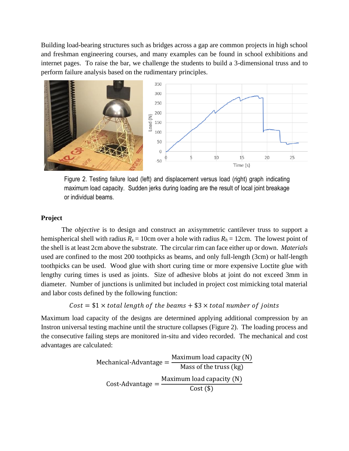Building load-bearing structures such as bridges across a gap are common projects in high school and freshman engineering courses, and many examples can be found in school exhibitions and internet pages. To raise the bar, we challenge the students to build a 3-dimensional truss and to perform failure analysis based on the rudimentary principles.



Figure 2. Testing failure load (left) and displacement versus load (right) graph indicating maximum load capacity. Sudden jerks during loading are the result of local joint breakage or individual beams.

## **Project**

The *objective* is to design and construct an axisymmetric cantilever truss to support a hemispherical shell with radius  $R_s = 10$ cm over a hole with radius  $R_h = 12$ cm. The lowest point of the shell is at least 2cm above the substrate. The circular rim can face either up or down. *Materials* used are confined to the most 200 toothpicks as beams, and only full-length (3cm) or half-length toothpicks can be used. Wood glue with short curing time or more expensive Loctite glue with lengthy curing times is used as joints. Size of adhesive blobs at joint do not exceed 3mm in diameter. Number of junctions is unlimited but included in project cost mimicking total material and labor costs defined by the following function:

# $Cost = $1 \times total length of the beams + $3 \times total number of joints$

Maximum load capacity of the designs are determined applying additional compression by an Instron universal testing machine until the structure collapses (Figure 2). The loading process and the consecutive failing steps are monitored in-situ and video recorded. The mechanical and cost advantages are calculated:

Mechanical-Advantage = 
$$
\frac{\text{Maximum load capacity (N)}}{\text{Mass of the truss (kg)}}
$$

\nCost-Advantage = 
$$
\frac{\text{Maximum load capacity (N)}}{\text{Cost (\$)}}
$$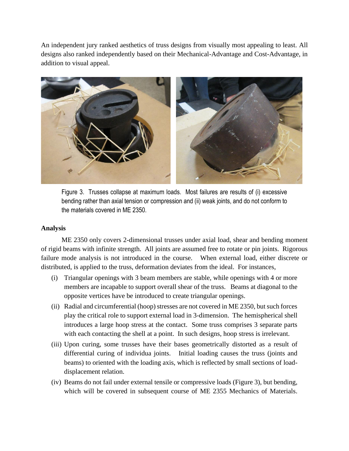An independent jury ranked aesthetics of truss designs from visually most appealing to least. All designs also ranked independently based on their Mechanical-Advantage and Cost-Advantage, in addition to visual appeal.



Figure 3. Trusses collapse at maximum loads. Most failures are results of (i) excessive bending rather than axial tension or compression and (ii) weak joints, and do not conform to the materials covered in ME 2350.

#### **Analysis**

ME 2350 only covers 2-dimensional trusses under axial load, shear and bending moment of rigid beams with infinite strength. All joints are assumed free to rotate or pin joints. Rigorous failure mode analysis is not introduced in the course. When external load, either discrete or distributed, is applied to the truss, deformation deviates from the ideal. For instances,

- (i) Triangular openings with 3 beam members are stable, while openings with 4 or more members are incapable to support overall shear of the truss. Beams at diagonal to the opposite vertices have be introduced to create triangular openings.
- (ii) Radial and circumferential (hoop) stresses are not covered in ME 2350, but such forces play the critical role to support external load in 3-dimension. The hemispherical shell introduces a large hoop stress at the contact. Some truss comprises 3 separate parts with each contacting the shell at a point. In such designs, hoop stress is irrelevant.
- (iii) Upon curing, some trusses have their bases geometrically distorted as a result of differential curing of individua joints. Initial loading causes the truss (joints and beams) to oriented with the loading axis, which is reflected by small sections of loaddisplacement relation.
- (iv) Beams do not fail under external tensile or compressive loads (Figure 3), but bending, which will be covered in subsequent course of ME 2355 Mechanics of Materials.